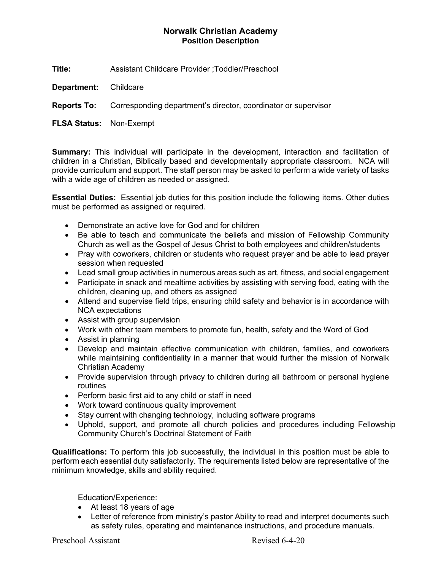## **Norwalk Christian Academy Position Description**

**Title:** Assistant Childcare Provider ;Toddler/Preschool

**Department:** Childcare

**Reports To:** Corresponding department's director, coordinator or supervisor

**FLSA Status:** Non-Exempt

**Summary:** This individual will participate in the development, interaction and facilitation of children in a Christian, Biblically based and developmentally appropriate classroom. NCA will provide curriculum and support. The staff person may be asked to perform a wide variety of tasks with a wide age of children as needed or assigned.

**Essential Duties:** Essential job duties for this position include the following items. Other duties must be performed as assigned or required.

- Demonstrate an active love for God and for children
- Be able to teach and communicate the beliefs and mission of Fellowship Community Church as well as the Gospel of Jesus Christ to both employees and children/students
- Pray with coworkers, children or students who request prayer and be able to lead prayer session when requested
- Lead small group activities in numerous areas such as art, fitness, and social engagement
- Participate in snack and mealtime activities by assisting with serving food, eating with the children, cleaning up, and others as assigned
- Attend and supervise field trips, ensuring child safety and behavior is in accordance with NCA expectations
- Assist with group supervision
- Work with other team members to promote fun, health, safety and the Word of God
- Assist in planning
- Develop and maintain effective communication with children, families, and coworkers while maintaining confidentiality in a manner that would further the mission of Norwalk Christian Academy
- Provide supervision through privacy to children during all bathroom or personal hygiene routines
- Perform basic first aid to any child or staff in need
- Work toward continuous quality improvement
- Stay current with changing technology, including software programs
- Uphold, support, and promote all church policies and procedures including Fellowship Community Church's Doctrinal Statement of Faith

**Qualifications:** To perform this job successfully, the individual in this position must be able to perform each essential duty satisfactorily. The requirements listed below are representative of the minimum knowledge, skills and ability required.

Education/Experience:

- At least 18 years of age
- Letter of reference from ministry's pastor Ability to read and interpret documents such as safety rules, operating and maintenance instructions, and procedure manuals.

Preschool Assistant Revised 6-4-20